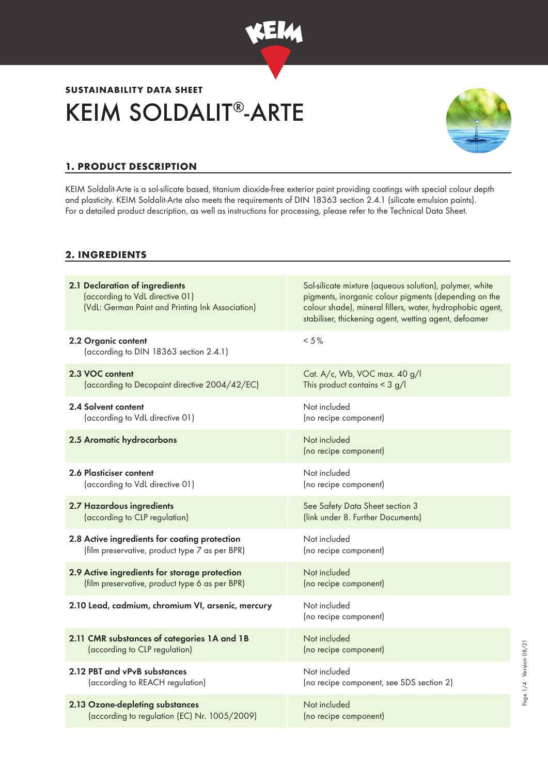

# KEIM SOLDALIT®-ARTE **SUSTAINABILITY DATA SHEET**



Page 1/4 · Version 08/21 Page 1/4 ∙ Version 08/21

## **1. PRODUCT DESCRIPTION**

KEIM Soldalit-Arte is a sol-silicate based, titanium dioxide-free exterior paint providing coatings with special colour depth and plasticity. KEIM Soldalit-Arte also meets the requirements of DIN 18363 section 2.4.1 (silicate emulsion paints). For a detailed product description, as well as instructions for processing, please refer to the Technical Data Sheet.

### **2. INGREDIENTS**

| 2.1 Declaration of ingredients<br>(according to VdL directive 01)<br>(VdL: German Paint and Printing Ink Association) | Sol-silicate mixture (aqueous solution), polymer, white<br>pigments, inorganic colour pigments (depending on the<br>colour shade), mineral fillers, water, hydrophobic agent,<br>stabiliser, thickening agent, wetting agent, defoamer |
|-----------------------------------------------------------------------------------------------------------------------|----------------------------------------------------------------------------------------------------------------------------------------------------------------------------------------------------------------------------------------|
| 2.2 Organic content<br>(according to DIN 18363 section 2.4.1)                                                         | $< 5 \%$                                                                                                                                                                                                                               |
| 2.3 VOC content                                                                                                       | Cat. A/c, Wb, VOC max. 40 g/l                                                                                                                                                                                                          |
| (according to Decopaint directive 2004/42/EC)                                                                         | This product contains $<$ 3 g/l                                                                                                                                                                                                        |
| 2.4 Solvent content                                                                                                   | Not included                                                                                                                                                                                                                           |
| (according to VdL directive 01)                                                                                       | (no recipe component)                                                                                                                                                                                                                  |
| 2.5 Aromatic hydrocarbons                                                                                             | Not included<br>(no recipe component)                                                                                                                                                                                                  |
| 2.6 Plasticiser content                                                                                               | Not included                                                                                                                                                                                                                           |
| (according to VdL directive 01)                                                                                       | (no recipe component)                                                                                                                                                                                                                  |
| 2.7 Hazardous ingredients                                                                                             | See Safety Data Sheet section 3                                                                                                                                                                                                        |
| (according to CLP regulation)                                                                                         | (link under 8. Further Documents)                                                                                                                                                                                                      |
| 2.8 Active ingredients for coating protection                                                                         | Not included                                                                                                                                                                                                                           |
| (film preservative, product type 7 as per BPR)                                                                        | (no recipe component)                                                                                                                                                                                                                  |
| 2.9 Active ingredients for storage protection                                                                         | Not included                                                                                                                                                                                                                           |
| (film preservative, product type 6 as per BPR)                                                                        | (no recipe component)                                                                                                                                                                                                                  |
| 2.10 Lead, cadmium, chromium VI, arsenic, mercury                                                                     | Not included<br>(no recipe component)                                                                                                                                                                                                  |
| 2.11 CMR substances of categories 1A and 1B                                                                           | Not included                                                                                                                                                                                                                           |
| (according to CLP regulation)                                                                                         | (no recipe component)                                                                                                                                                                                                                  |
| 2.12 PBT and vPvB substances                                                                                          | Not included                                                                                                                                                                                                                           |
| (according to REACH regulation)                                                                                       | (no recipe component, see SDS section 2)                                                                                                                                                                                               |
| 2.13 Ozone-depleting substances                                                                                       | Not included                                                                                                                                                                                                                           |
| (according to regulation (EC) Nr. 1005/2009)                                                                          | (no recipe component)                                                                                                                                                                                                                  |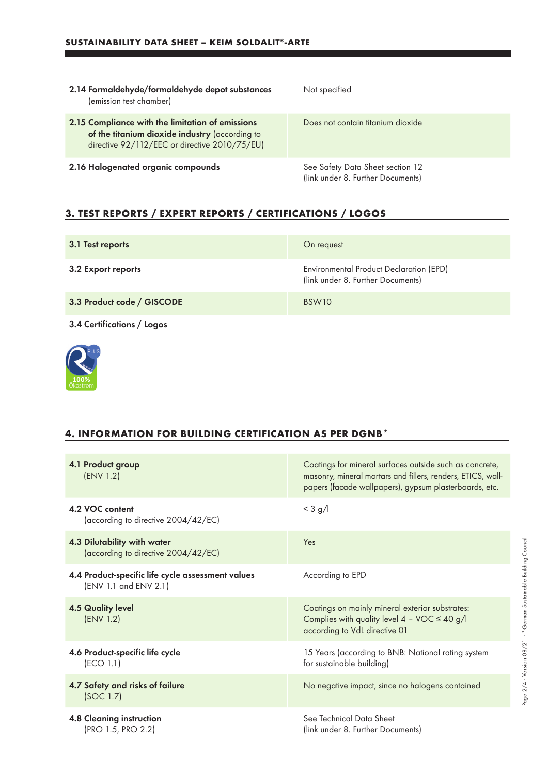| 2.14 Formaldehyde/formaldehyde depot substances<br>(emission test chamber)                                                                          | Not specified                                                         |
|-----------------------------------------------------------------------------------------------------------------------------------------------------|-----------------------------------------------------------------------|
| 2.15 Compliance with the limitation of emissions<br>of the titanium dioxide industry (according to<br>directive 92/112/EEC or directive 2010/75/EU) | Does not contain titanium dioxide                                     |
| 2.16 Halogenated organic compounds                                                                                                                  | See Safety Data Sheet section 12<br>(link under 8. Further Documents) |

## **3. TEST REPORTS / EXPERT REPORTS / CERTIFICATIONS / LOGOS**

| 3.1 Test reports           | On request                                                                   |
|----------------------------|------------------------------------------------------------------------------|
| 3.2 Export reports         | Environmental Product Declaration (EPD)<br>(link under 8. Further Documents) |
| 3.3 Product code / GISCODE | BSW <sub>10</sub>                                                            |
| 3.4 Certifications / Logos |                                                                              |



#### **4. INFORMATION FOR BUILDING CERTIFICATION AS PER DGNB\***

| 4.1 Product group<br>(ENV 1.2)                                             | Coatings for mineral surfaces outside such as concrete,<br>masonry, mineral mortars and fillers, renders, ETICS, wall-<br>papers (facade wallpapers), gypsum plasterboards, etc. |
|----------------------------------------------------------------------------|----------------------------------------------------------------------------------------------------------------------------------------------------------------------------------|
| 4.2 VOC content<br>(according to directive 2004/42/EC)                     | $<$ 3 g/l                                                                                                                                                                        |
| 4.3 Dilutability with water<br>(according to directive 2004/42/EC)         | Yes                                                                                                                                                                              |
| 4.4 Product-specific life cycle assessment values<br>(ENV 1.1 and ENV 2.1) | According to EPD                                                                                                                                                                 |
| <b>4.5 Quality level</b><br>(ENV 1.2)                                      | Coatings on mainly mineral exterior substrates:<br>Complies with quality level $4 - \text{VOC} \leq 40 \text{ g/l}$<br>according to VdL directive 01                             |
| 4.6 Product-specific life cycle<br>(ECO 1.1)                               | 15 Years (according to BNB: National rating system<br>for sustainable building)                                                                                                  |
| 4.7 Safety and risks of failure<br>(SOC 1.7)                               | No negative impact, since no halogens contained                                                                                                                                  |
| <b>4.8 Cleaning instruction</b><br>(PRO 1.5, PRO 2.2)                      | See Technical Data Sheet<br>(link under 8. Further Documents)                                                                                                                    |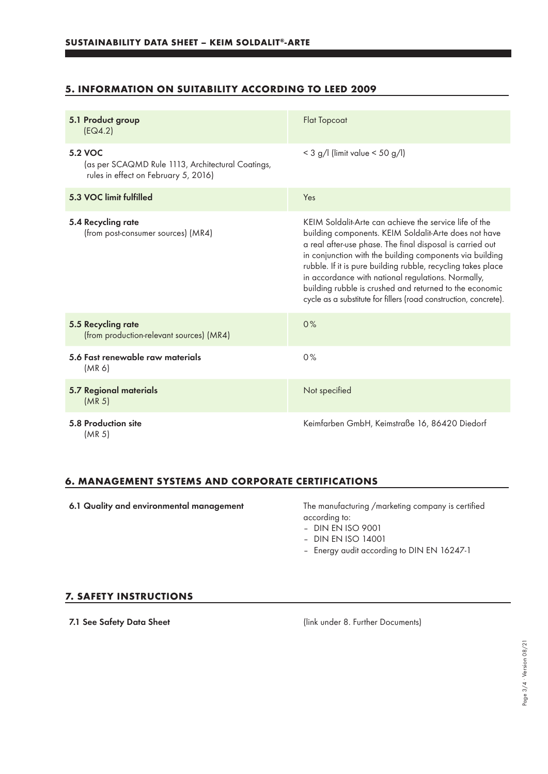### **5. INFORMATION ON SUITABILITY ACCORDING TO LEED 2009**

| 5.1 Product group<br>EG4.2)                                                                          | <b>Flat Topcoat</b>                                                                                                                                                                                                                                                                                                                                                                                                                                                                           |
|------------------------------------------------------------------------------------------------------|-----------------------------------------------------------------------------------------------------------------------------------------------------------------------------------------------------------------------------------------------------------------------------------------------------------------------------------------------------------------------------------------------------------------------------------------------------------------------------------------------|
| 5.2 VOC<br>(as per SCAQMD Rule 1113, Architectural Coatings,<br>rules in effect on February 5, 2016) | $<$ 3 g/l (limit value $<$ 50 g/l)                                                                                                                                                                                                                                                                                                                                                                                                                                                            |
| 5.3 VOC limit fulfilled                                                                              | Yes                                                                                                                                                                                                                                                                                                                                                                                                                                                                                           |
| 5.4 Recycling rate<br>(from post-consumer sources) (MR4)                                             | KEIM Soldalit-Arte can achieve the service life of the<br>building components. KEIM Soldalit-Arte does not have<br>a real after-use phase. The final disposal is carried out<br>in conjunction with the building components via building<br>rubble. If it is pure building rubble, recycling takes place<br>in accordance with national regulations. Normally,<br>building rubble is crushed and returned to the economic<br>cycle as a substitute for fillers (road construction, concrete). |
| 5.5 Recycling rate<br>(from production-relevant sources) (MR4)                                       | 0%                                                                                                                                                                                                                                                                                                                                                                                                                                                                                            |
| 5.6 Fast renewable raw materials<br>(MR 6)                                                           | 0%                                                                                                                                                                                                                                                                                                                                                                                                                                                                                            |
| <b>5.7 Regional materials</b><br>(MR <sub>5</sub> )                                                  | Not specified                                                                                                                                                                                                                                                                                                                                                                                                                                                                                 |
| 5.8 Production site<br>(MR 5)                                                                        | Keimfarben GmbH, Keimstraße 16, 86420 Diedorf                                                                                                                                                                                                                                                                                                                                                                                                                                                 |

#### **6. MANAGEMENT SYSTEMS AND CORPORATE CERTIFICATIONS**

6.1 Quality and environmental management The manufacturing /marketing company is certified according to:

– DIN EN ISO 9001

- DIN EN ISO 14001
- Energy audit according to DIN EN 16247-1

#### **7. SAFETY INSTRUCTIONS**

7.1 See Safety Data Sheet (link under 8. Further Documents)